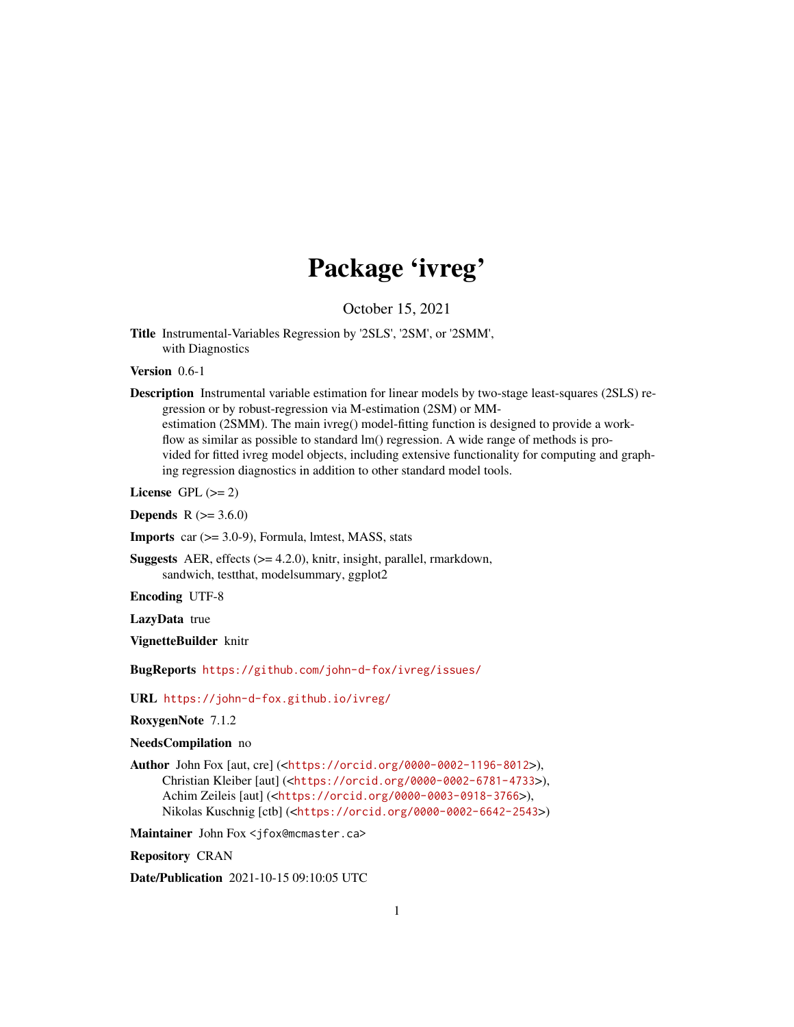# Package 'ivreg'

October 15, 2021

<span id="page-0-0"></span>Title Instrumental-Variables Regression by '2SLS', '2SM', or '2SMM', with Diagnostics

Version 0.6-1

Description Instrumental variable estimation for linear models by two-stage least-squares (2SLS) regression or by robust-regression via M-estimation (2SM) or MMestimation (2SMM). The main ivreg() model-fitting function is designed to provide a workflow as similar as possible to standard lm() regression. A wide range of methods is provided for fitted ivreg model objects, including extensive functionality for computing and graphing regression diagnostics in addition to other standard model tools.

License GPL  $(>= 2)$ 

**Depends**  $R (= 3.6.0)$ 

Imports car (>= 3.0-9), Formula, lmtest, MASS, stats

Suggests AER, effects (>= 4.2.0), knitr, insight, parallel, rmarkdown, sandwich, testthat, modelsummary, ggplot2

Encoding UTF-8

LazyData true

VignetteBuilder knitr

BugReports <https://github.com/john-d-fox/ivreg/issues/>

URL <https://john-d-fox.github.io/ivreg/>

RoxygenNote 7.1.2

NeedsCompilation no

Author John Fox [aut, cre] (<<https://orcid.org/0000-0002-1196-8012>>), Christian Kleiber [aut] (<<https://orcid.org/0000-0002-6781-4733>>), Achim Zeileis [aut] (<<https://orcid.org/0000-0003-0918-3766>>), Nikolas Kuschnig [ctb] (<<https://orcid.org/0000-0002-6642-2543>>)

Maintainer John Fox <jfox@mcmaster.ca>

Repository CRAN

Date/Publication 2021-10-15 09:10:05 UTC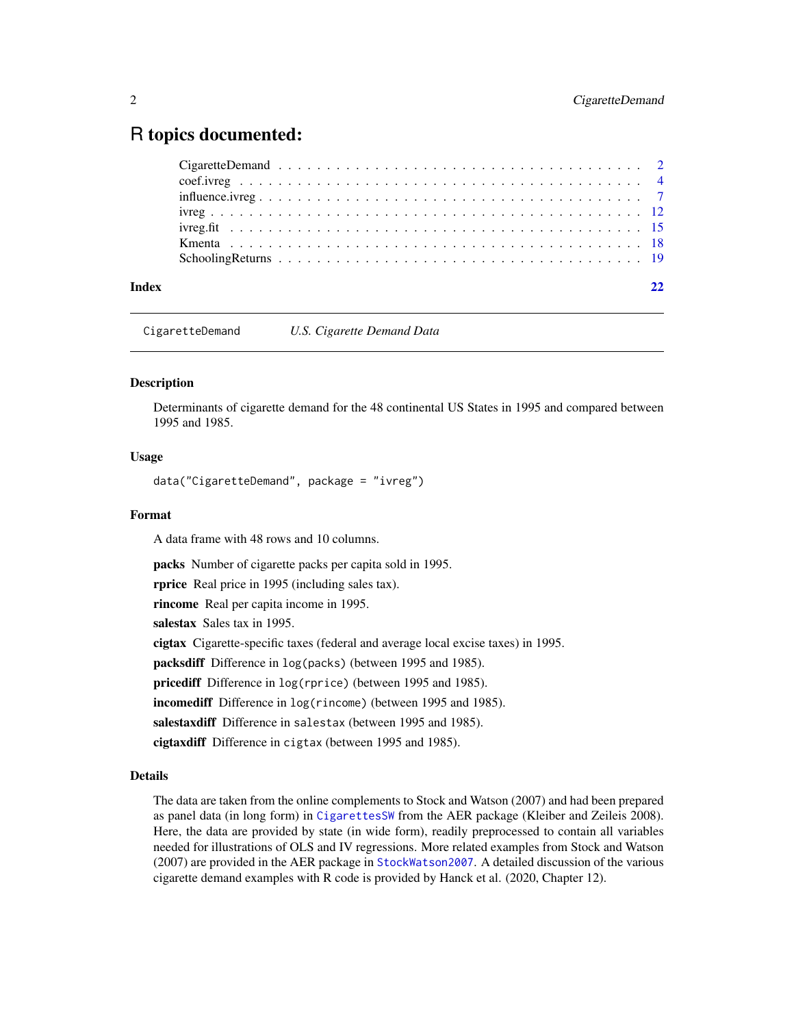# <span id="page-1-0"></span>R topics documented:

| Index |  |
|-------|--|

CigaretteDemand *U.S. Cigarette Demand Data*

#### **Description**

Determinants of cigarette demand for the 48 continental US States in 1995 and compared between 1995 and 1985.

# Usage

data("CigaretteDemand", package = "ivreg")

# Format

A data frame with 48 rows and 10 columns.

packs Number of cigarette packs per capita sold in 1995.

rprice Real price in 1995 (including sales tax).

rincome Real per capita income in 1995.

salestax Sales tax in 1995.

cigtax Cigarette-specific taxes (federal and average local excise taxes) in 1995.

packsdiff Difference in log(packs) (between 1995 and 1985).

pricediff Difference in log(rprice) (between 1995 and 1985).

incomediff Difference in log(rincome) (between 1995 and 1985).

salestaxdiff Difference in salestax (between 1995 and 1985).

cigtaxdiff Difference in cigtax (between 1995 and 1985).

# Details

The data are taken from the online complements to Stock and Watson (2007) and had been prepared as panel data (in long form) in [CigarettesSW](#page-0-0) from the AER package (Kleiber and Zeileis 2008). Here, the data are provided by state (in wide form), readily preprocessed to contain all variables needed for illustrations of OLS and IV regressions. More related examples from Stock and Watson (2007) are provided in the AER package in [StockWatson2007](#page-0-0). A detailed discussion of the various cigarette demand examples with R code is provided by Hanck et al. (2020, Chapter 12).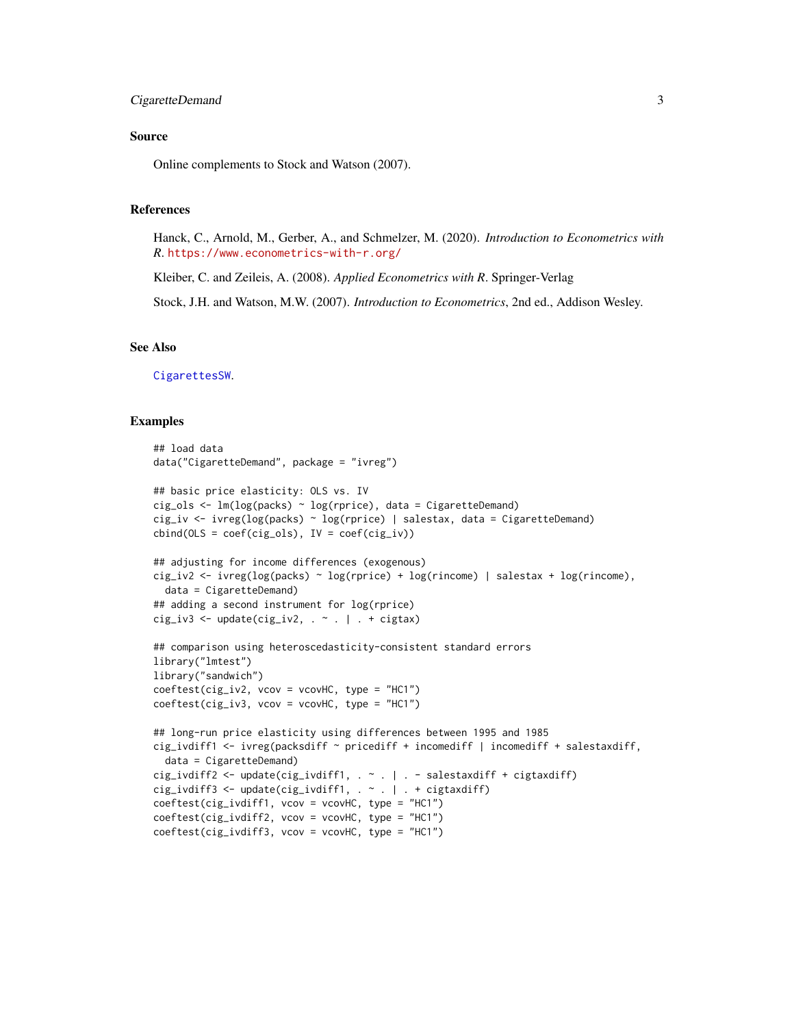# <span id="page-2-0"></span>CigaretteDemand 3

#### Source

Online complements to Stock and Watson (2007).

#### References

Hanck, C., Arnold, M., Gerber, A., and Schmelzer, M. (2020). *Introduction to Econometrics with R*. <https://www.econometrics-with-r.org/>

Kleiber, C. and Zeileis, A. (2008). *Applied Econometrics with R*. Springer-Verlag

Stock, J.H. and Watson, M.W. (2007). *Introduction to Econometrics*, 2nd ed., Addison Wesley.

# See Also

[CigarettesSW](#page-0-0).

```
## load data
data("CigaretteDemand", package = "ivreg")
## basic price elasticity: OLS vs. IV
cig_ols <- lm(log(packs) ~ log(rprice), data = CigaretteDemand)
cig_iv <- ivreg(log(packs) ~ log(rprice) | salestax, data = CigaretteDemand)
cbind(OLS = coef(cig_ols), IV = coef(cig_i v))## adjusting for income differences (exogenous)
cig_iv2 <- ivreg(log(packs) ~ log(rprice) + log(rincome) | salestax + log(rincome),
  data = CigaretteDemand)
## adding a second instrument for log(rprice)
cig\_iv3 \leq update(cig\_iv2, . \leq . \mid . + cigtax)## comparison using heteroscedasticity-consistent standard errors
library("lmtest")
library("sandwich")
coeftest(cig_iv2, vcov = vcovHC, type = "HC1")
coeftest(cig_iv3, vcov = vcovHC, type = "HC1")
## long-run price elasticity using differences between 1995 and 1985
cig_ivdiff1 <- ivreg(packsdiff ~ pricediff + incomediff | incomediff + salestaxdiff,
  data = CigaretteDemand)
cig_ivdiff2 <- update(cig_ivdiff1, . ~ . | . - salestaxdiff + cigtaxdiff)
cig_ivdiff3 <- update(cig_ivdiff1, . ~ . | . + cigtaxdiff)
coeftest(cig_ivdiff1, vcov = vcovHC, type = "HC1")
coeffest(cig\_ivdiff2, vcov = vcovHC, type = "HC1")coeftest(cig_ivdiff3, vcov = vcovHC, type = "HC1")
```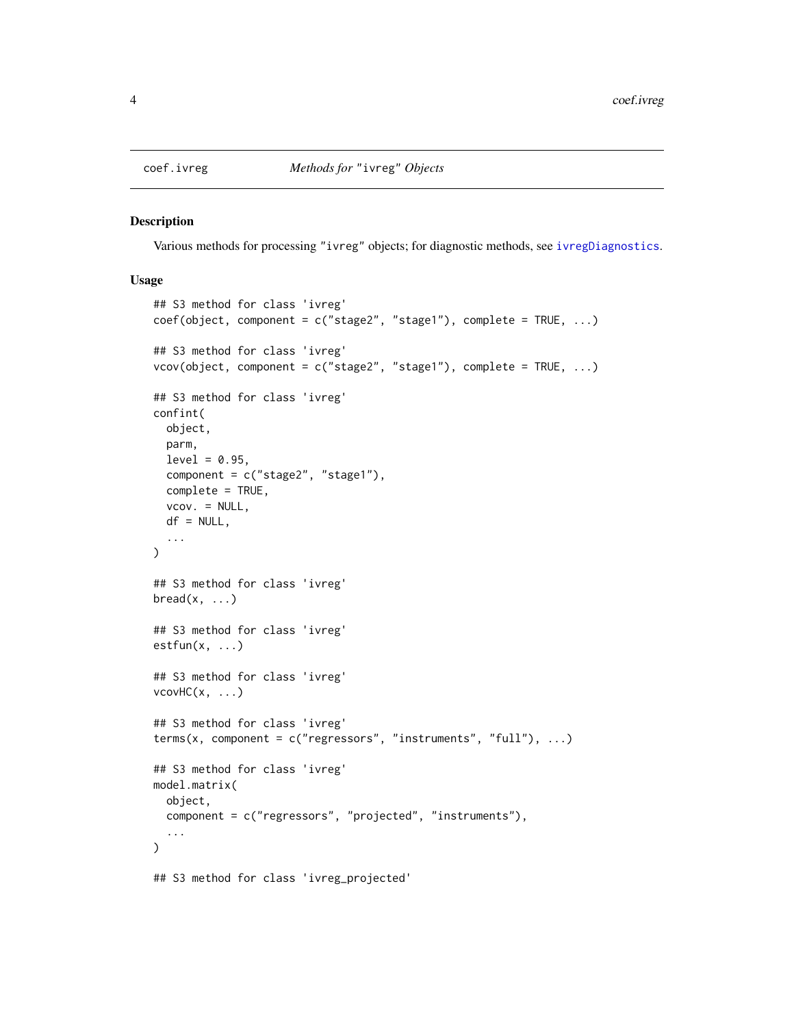<span id="page-3-0"></span>

#### <span id="page-3-1"></span>Description

Various methods for processing "ivreg" objects; for diagnostic methods, see [ivregDiagnostics](#page-6-1).

#### Usage

```
## S3 method for class 'ivreg'
coef(object, component = c("stage2", "stage1"), complete = TRUE, ...)
## S3 method for class 'ivreg'
vcov(object, component = c("stage2", "stage1"), complete = TRUE, ...)
## S3 method for class 'ivreg'
confint(
 object,
 parm,
 level = 0.95,component = c("stage2", "stage1"),
 complete = TRUE,
  vcov. = NULL,
 df = NULL,...
\lambda## S3 method for class 'ivreg'
break(x, \ldots)## S3 method for class 'ivreg'
estfun(x, \ldots)## S3 method for class 'ivreg'
vcovHC(x, \ldots)## S3 method for class 'ivreg'
terms(x, component = c("regressors", "instruments", "full"), ...)## S3 method for class 'ivreg'
model.matrix(
  object,
  component = c("regressors", "projected", "instruments"),
  ...
)
## S3 method for class 'ivreg_projected'
```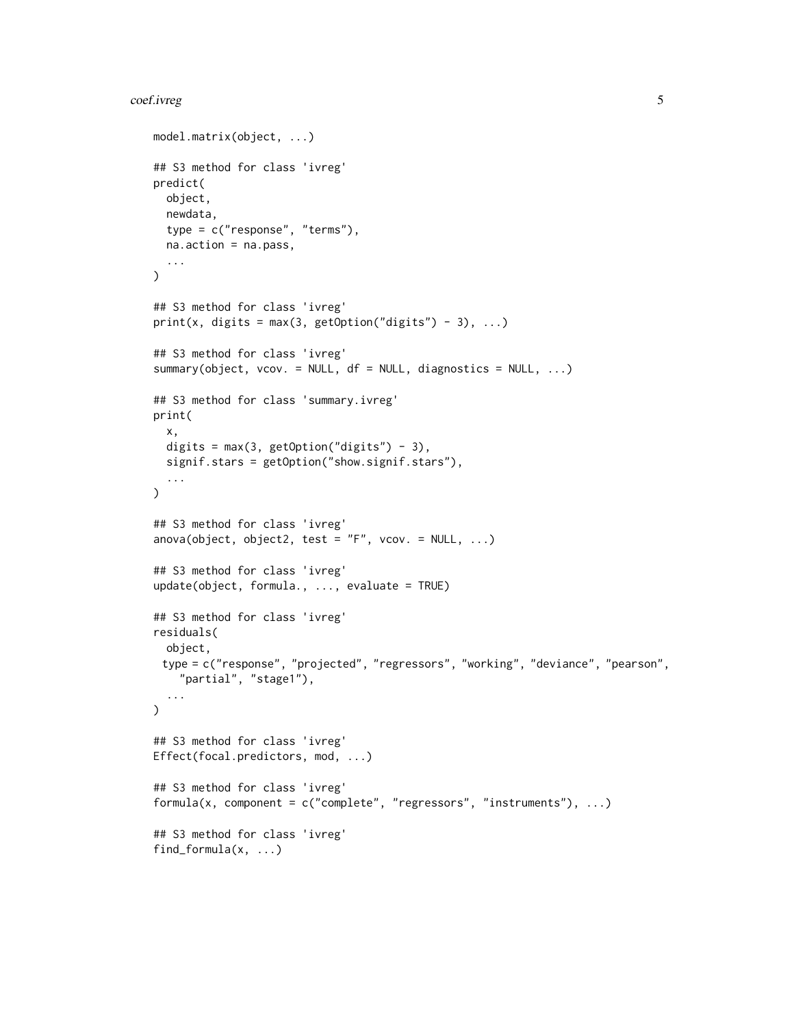# coef.ivreg 5

```
model.matrix(object, ...)
## S3 method for class 'ivreg'
predict(
 object,
 newdata,
  type = c("response", "terms"),
 na.action = na.pass,
  ...
)
## S3 method for class 'ivreg'
print(x, digits = max(3, getOption("digits") - 3), ...)
## S3 method for class 'ivreg'
summary(object, vcov. = NULL, df = NULL, diagnostics = NULL, ...)
## S3 method for class 'summary.ivreg'
print(
  x,
 digits = max(3, getOption("digits") - 3),signif.stars = getOption("show.signif.stars"),
  ...
\mathcal{L}## S3 method for class 'ivreg'
anova(object, object2, test = "F", vcov. = NULL, \ldots)
## S3 method for class 'ivreg'
update(object, formula., ..., evaluate = TRUE)
## S3 method for class 'ivreg'
residuals(
 object,
 type = c("response", "projected", "regressors", "working", "deviance", "pearson",
    "partial", "stage1"),
  ...
\mathcal{L}## S3 method for class 'ivreg'
Effect(focal.predictors, mod, ...)
## S3 method for class 'ivreg'
formula(x, component = c("complete", "regressors", "instruments"), ...)## S3 method for class 'ivreg'
find_formula(x, ...)
```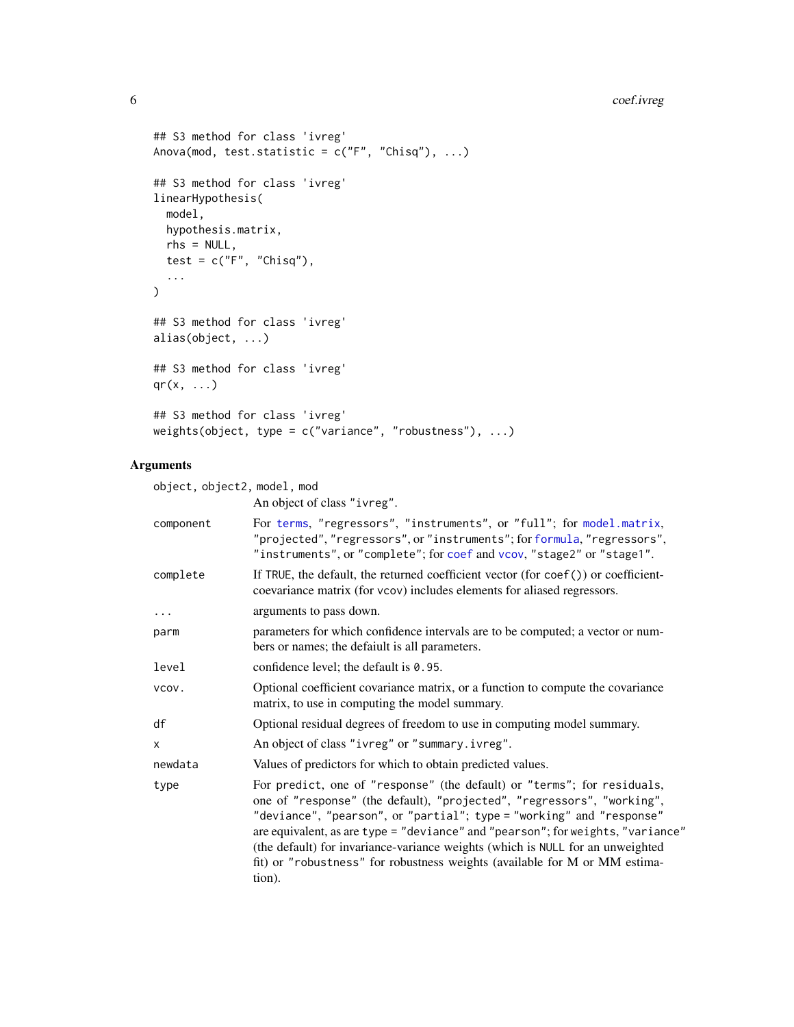```
## S3 method for class 'ivreg'
Anova(mod, test.statistic = c("F", "Chisq"), ...)
## S3 method for class 'ivreg'
linearHypothesis(
  model,
 hypothesis.matrix,
  rhs = NULL,test = c("F", "Chisq"),...
\mathcal{L}## S3 method for class 'ivreg'
alias(object, ...)
## S3 method for class 'ivreg'
qr(x, \ldots)## S3 method for class 'ivreg'
weights(object, type = c("variance", "robustness"), ...)
```
# Arguments

| object, object2, model, mod |                                                                                                                                                                                                                                                                                                                                                                                                                                                                                        |  |
|-----------------------------|----------------------------------------------------------------------------------------------------------------------------------------------------------------------------------------------------------------------------------------------------------------------------------------------------------------------------------------------------------------------------------------------------------------------------------------------------------------------------------------|--|
|                             | An object of class "ivreg".                                                                                                                                                                                                                                                                                                                                                                                                                                                            |  |
| component                   | For terms, "regressors", "instruments", or "full"; for model.matrix,<br>"projected", "regressors", or "instruments"; for formula, "regressors",<br>"instruments", or "complete"; for coef and vcov, "stage2" or "stage1".                                                                                                                                                                                                                                                              |  |
| complete                    | If TRUE, the default, the returned coefficient vector (for $\text{coef}(\cdot)$ ) or coefficient-<br>coevariance matrix (for vcov) includes elements for aliased regressors.                                                                                                                                                                                                                                                                                                           |  |
| $\cdots$                    | arguments to pass down.                                                                                                                                                                                                                                                                                                                                                                                                                                                                |  |
| parm                        | parameters for which confidence intervals are to be computed; a vector or num-<br>bers or names; the defaiult is all parameters.                                                                                                                                                                                                                                                                                                                                                       |  |
| level                       | confidence level; the default is 0.95.                                                                                                                                                                                                                                                                                                                                                                                                                                                 |  |
| VCOV.                       | Optional coefficient covariance matrix, or a function to compute the covariance<br>matrix, to use in computing the model summary.                                                                                                                                                                                                                                                                                                                                                      |  |
| df                          | Optional residual degrees of freedom to use in computing model summary.                                                                                                                                                                                                                                                                                                                                                                                                                |  |
| X                           | An object of class "ivreg" or "summary.ivreg".                                                                                                                                                                                                                                                                                                                                                                                                                                         |  |
| newdata                     | Values of predictors for which to obtain predicted values.                                                                                                                                                                                                                                                                                                                                                                                                                             |  |
| type                        | For predict, one of "response" (the default) or "terms"; for residuals,<br>one of "response" (the default), "projected", "regressors", "working",<br>"deviance", "pearson", or "partial"; type = "working" and "response"<br>are equivalent, as are type = "deviance" and "pearson"; for weights, "variance"<br>(the default) for invariance-variance weights (which is NULL for an unweighted<br>fit) or "robustness" for robustness weights (available for M or MM estima-<br>tion). |  |

<span id="page-5-0"></span>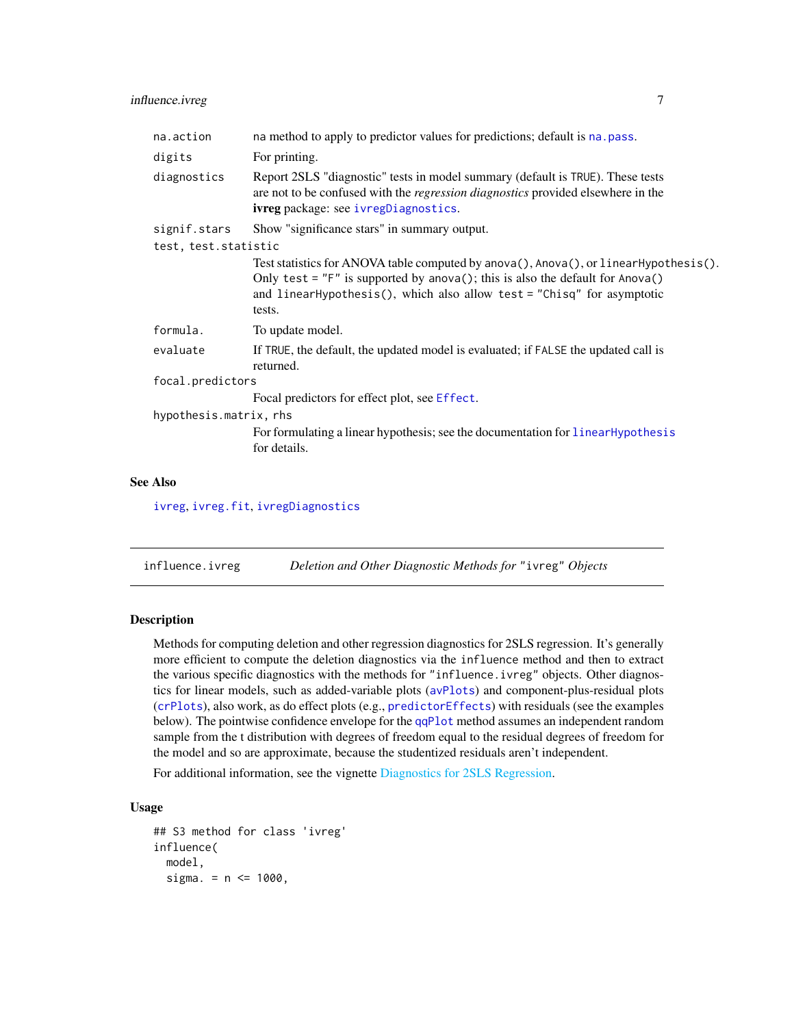<span id="page-6-0"></span>

| na.action              | na method to apply to predictor values for predictions; default is na. pass.                                                                                                                                                                                |  |
|------------------------|-------------------------------------------------------------------------------------------------------------------------------------------------------------------------------------------------------------------------------------------------------------|--|
| digits                 | For printing.                                                                                                                                                                                                                                               |  |
| diagnostics            | Report 2SLS "diagnostic" tests in model summary (default is TRUE). These tests<br>are not to be confused with the <i>regression diagnostics</i> provided elsewhere in the<br>ivreg package: see ivregDiagnostics.                                           |  |
| signif.stars           | Show "significance stars" in summary output.                                                                                                                                                                                                                |  |
| test, test.statistic   |                                                                                                                                                                                                                                                             |  |
|                        | Test statistics for ANOVA table computed by anova(), Anova(), or linearHypothesis().<br>Only test = $"F"$ is supported by anova(); this is also the default for Anova()<br>and linearHypothesis(), which also allow test = "Chisq" for asymptotic<br>tests. |  |
| formula.               | To update model.                                                                                                                                                                                                                                            |  |
| evaluate               | If TRUE, the default, the updated model is evaluated; if FALSE the updated call is<br>returned.                                                                                                                                                             |  |
| focal.predictors       |                                                                                                                                                                                                                                                             |  |
|                        | Focal predictors for effect plot, see Effect.                                                                                                                                                                                                               |  |
| hypothesis.matrix, rhs |                                                                                                                                                                                                                                                             |  |
|                        | For formulating a linear hypothesis; see the documentation for linear Hypothesis<br>for details.                                                                                                                                                            |  |
| Also                   |                                                                                                                                                                                                                                                             |  |

# **See**

# [ivreg](#page-11-1), [ivreg.fit](#page-14-1), [ivregDiagnostics](#page-6-1)

influence.ivreg *Deletion and Other Diagnostic Methods for* "ivreg" *Objects*

# <span id="page-6-1"></span>Description

Methods for computing deletion and other regression diagnostics for 2SLS regression. It's generally more efficient to compute the deletion diagnostics via the influence method and then to extract the various specific diagnostics with the methods for "influence.ivreg" objects. Other diagnostics for linear models, such as added-variable plots ([avPlots](#page-0-0)) and component-plus-residual plots ([crPlots](#page-0-0)), also work, as do effect plots (e.g., [predictorEffects](#page-0-0)) with residuals (see the examples below). The pointwise confidence envelope for the qqP1ot method assumes an independent random sample from the t distribution with degrees of freedom equal to the residual degrees of freedom for the model and so are approximate, because the studentized residuals aren't independent.

For additional information, see the vignette [Diagnostics for 2SLS Regression.](#page-0-0)

# Usage

```
## S3 method for class 'ivreg'
influence(
 model,
  sigma. = n \le 1000,
```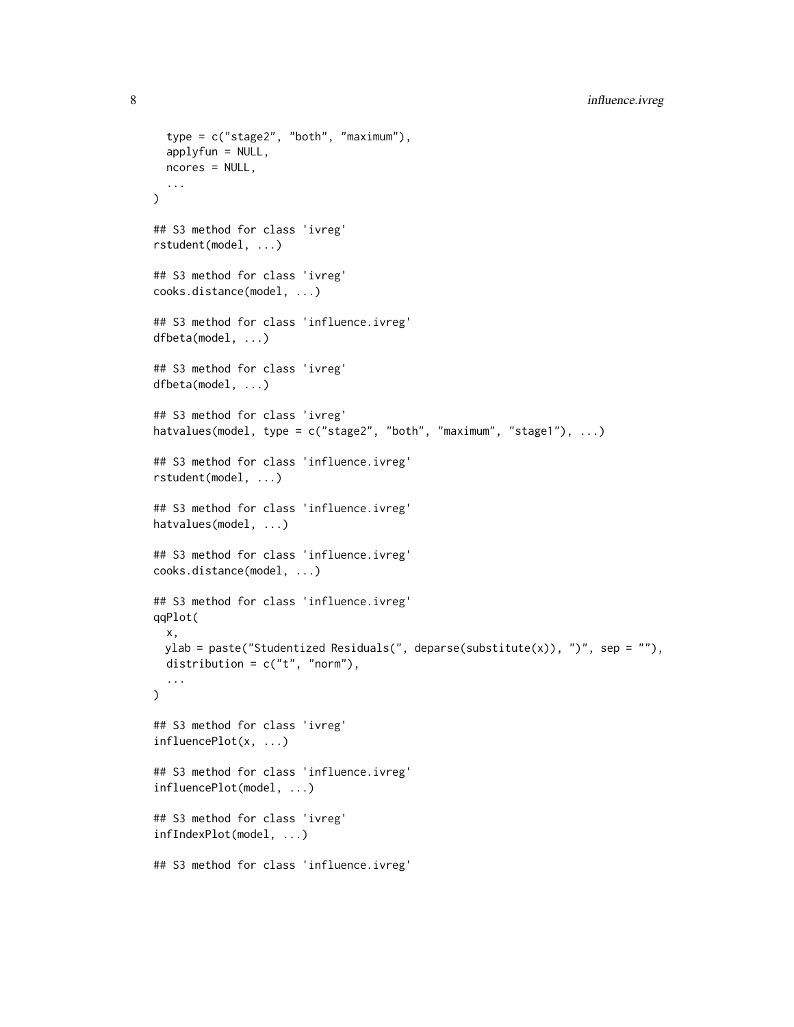```
type = c("stage2", "both", "maximum"),
  applyfun = NULL,
 ncores = NULL,
  ...
\mathcal{L}## S3 method for class 'ivreg'
rstudent(model, ...)
## S3 method for class 'ivreg'
cooks.distance(model, ...)
## S3 method for class 'influence.ivreg'
dfbeta(model, ...)
## S3 method for class 'ivreg'
dfbeta(model, ...)
## S3 method for class 'ivreg'
hatvalues(model, type = c("stage2", "both", "maximum", "stage1"), ...)
## S3 method for class 'influence.ivreg'
rstudent(model, ...)
## S3 method for class 'influence.ivreg'
hatvalues(model, ...)
## S3 method for class 'influence.ivreg'
cooks.distance(model, ...)
## S3 method for class 'influence.ivreg'
qqPlot(
 x,
 ylab = paste("Studentized Residuals(", deparse(substitute(x)), ")", sep = ""),
 distribution = c("t", "norm"),...
\lambda## S3 method for class 'ivreg'
influencePlot(x, ...)
## S3 method for class 'influence.ivreg'
influencePlot(model, ...)
## S3 method for class 'ivreg'
infIndexPlot(model, ...)
## S3 method for class 'influence.ivreg'
```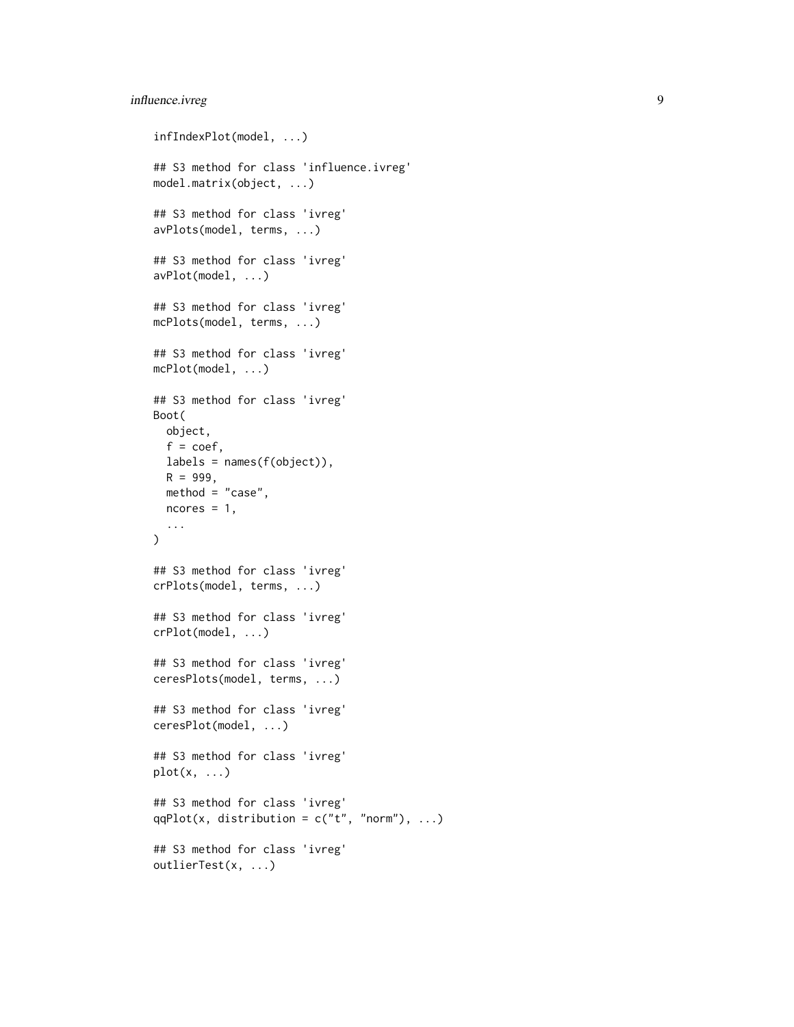# influence.ivreg 9

```
infIndexPlot(model, ...)
## S3 method for class 'influence.ivreg'
model.matrix(object, ...)
## S3 method for class 'ivreg'
avPlots(model, terms, ...)
## S3 method for class 'ivreg'
avPlot(model, ...)
## S3 method for class 'ivreg'
mcPlots(model, terms, ...)
## S3 method for class 'ivreg'
mcPlot(model, ...)
## S3 method for class 'ivreg'
Boot(
 object,
 f = \text{coef},
 labels = names(f(object)),
 R = 999,method = "case",ncores = 1,
  ...
\mathcal{L}## S3 method for class 'ivreg'
crPlots(model, terms, ...)
## S3 method for class 'ivreg'
crPlot(model, ...)
## S3 method for class 'ivreg'
ceresPlots(model, terms, ...)
## S3 method for class 'ivreg'
ceresPlot(model, ...)
## S3 method for class 'ivreg'
plot(x, \ldots)## S3 method for class 'ivreg'
qqPlot(x, distribution = c("t", "norm"), ...)
## S3 method for class 'ivreg'
outlierTest(x, ...)
```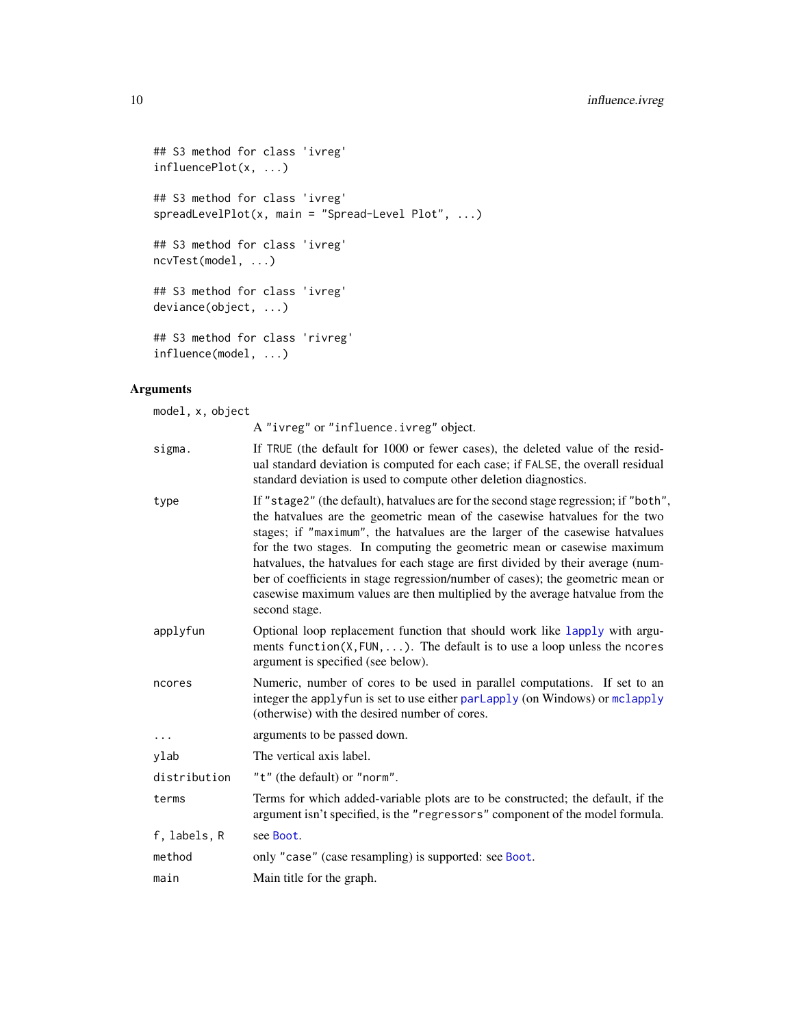```
## S3 method for class 'ivreg'
influencePlot(x, ...)
## S3 method for class 'ivreg'
spreadLevelPlot(x, main = "Spread-Level Plot", ...)
## S3 method for class 'ivreg'
ncvTest(model, ...)
## S3 method for class 'ivreg'
deviance(object, ...)
## S3 method for class 'rivreg'
influence(model, ...)
```
# Arguments

| model, x, object |                                                                                                                                                                                                                                                                                                                                                                                                                                                                                                                                                                                                         |
|------------------|---------------------------------------------------------------------------------------------------------------------------------------------------------------------------------------------------------------------------------------------------------------------------------------------------------------------------------------------------------------------------------------------------------------------------------------------------------------------------------------------------------------------------------------------------------------------------------------------------------|
|                  | A "ivreg" or "influence.ivreg" object.                                                                                                                                                                                                                                                                                                                                                                                                                                                                                                                                                                  |
| sigma.           | If TRUE (the default for 1000 or fewer cases), the deleted value of the resid-<br>ual standard deviation is computed for each case; if FALSE, the overall residual<br>standard deviation is used to compute other deletion diagnostics.                                                                                                                                                                                                                                                                                                                                                                 |
| type             | If "stage2" (the default), hatvalues are for the second stage regression; if "both",<br>the hat values are the geometric mean of the casewise hat values for the two<br>stages; if "maximum", the hatvalues are the larger of the casewise hatvalues<br>for the two stages. In computing the geometric mean or casewise maximum<br>hatvalues, the hatvalues for each stage are first divided by their average (num-<br>ber of coefficients in stage regression/number of cases); the geometric mean or<br>casewise maximum values are then multiplied by the average hatvalue from the<br>second stage. |
| applyfun         | Optional loop replacement function that should work like lapply with argu-<br>ments function( $X$ , FUN, ). The default is to use a loop unless the ncores<br>argument is specified (see below).                                                                                                                                                                                                                                                                                                                                                                                                        |
| ncores           | Numeric, number of cores to be used in parallel computations. If set to an<br>integer the applyfun is set to use either parlapply (on Windows) or mclapply<br>(otherwise) with the desired number of cores.                                                                                                                                                                                                                                                                                                                                                                                             |
| $\ddots$         | arguments to be passed down.                                                                                                                                                                                                                                                                                                                                                                                                                                                                                                                                                                            |
| ylab             | The vertical axis label.                                                                                                                                                                                                                                                                                                                                                                                                                                                                                                                                                                                |
| distribution     | "t" (the default) or "norm".                                                                                                                                                                                                                                                                                                                                                                                                                                                                                                                                                                            |
| terms            | Terms for which added-variable plots are to be constructed; the default, if the<br>argument isn't specified, is the "regressors" component of the model formula.                                                                                                                                                                                                                                                                                                                                                                                                                                        |
| f, labels, R     | see Boot.                                                                                                                                                                                                                                                                                                                                                                                                                                                                                                                                                                                               |
| method           | only "case" (case resampling) is supported: see Boot.                                                                                                                                                                                                                                                                                                                                                                                                                                                                                                                                                   |
| main             | Main title for the graph.                                                                                                                                                                                                                                                                                                                                                                                                                                                                                                                                                                               |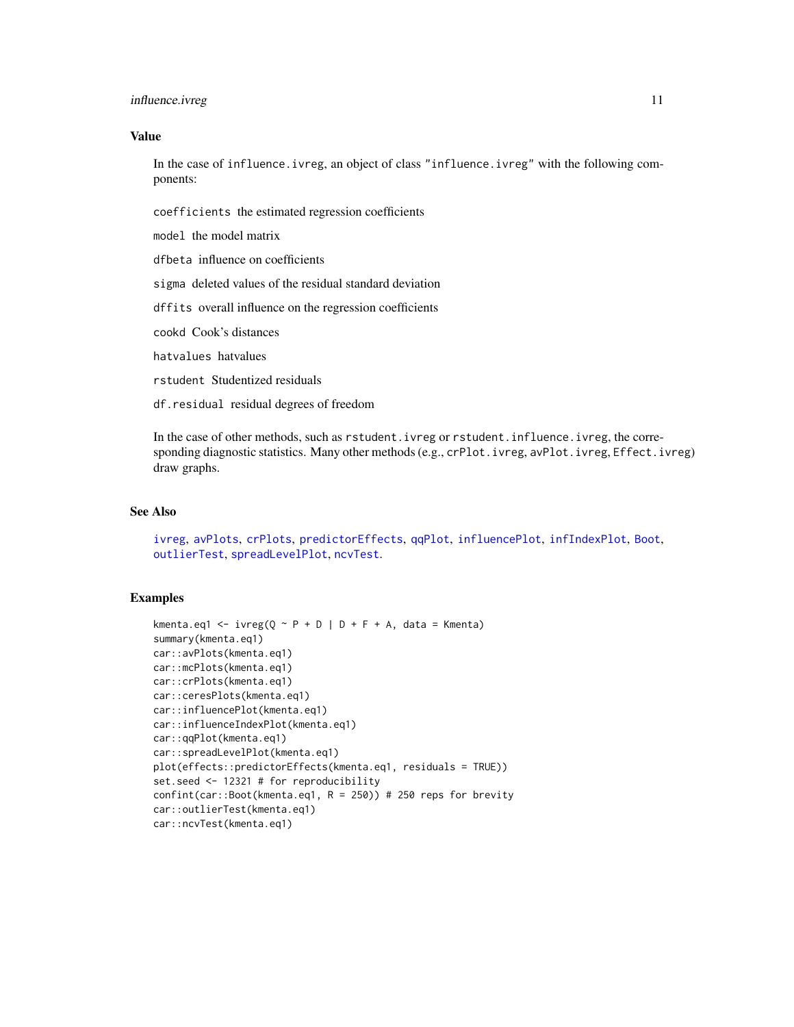# <span id="page-10-0"></span>influence.ivreg 11

# Value

In the case of influence.ivreg, an object of class "influence.ivreg" with the following components:

coefficients the estimated regression coefficients

model the model matrix

dfbeta influence on coefficients

sigma deleted values of the residual standard deviation

dffits overall influence on the regression coefficients

cookd Cook's distances

hatvalues hatvalues

rstudent Studentized residuals

df.residual residual degrees of freedom

In the case of other methods, such as rstudent.ivreg or rstudent.influence.ivreg, the corresponding diagnostic statistics. Many other methods (e.g., crPlot.ivreg, avPlot.ivreg, Effect.ivreg) draw graphs.

# See Also

[ivreg](#page-11-1), [avPlots](#page-0-0), [crPlots](#page-0-0), [predictorEffects](#page-0-0), [qqPlot](#page-0-0), [influencePlot](#page-0-0), [infIndexPlot](#page-0-0), [Boot](#page-0-0), [outlierTest](#page-0-0), [spreadLevelPlot](#page-0-0), [ncvTest](#page-0-0).

```
kmenta.eq1 <- ivreg(Q \sim P + D | D + F + A, data = Kmenta)
summary(kmenta.eq1)
car::avPlots(kmenta.eq1)
car::mcPlots(kmenta.eq1)
car::crPlots(kmenta.eq1)
car::ceresPlots(kmenta.eq1)
car::influencePlot(kmenta.eq1)
car::influenceIndexPlot(kmenta.eq1)
car::qqPlot(kmenta.eq1)
car::spreadLevelPlot(kmenta.eq1)
plot(effects::predictorEffects(kmenta.eq1, residuals = TRUE))
set.seed <- 12321 # for reproducibility
confint(car::Boot(kmenta.eq1, R = 250)) # 250 reps for brevity
car::outlierTest(kmenta.eq1)
car::ncvTest(kmenta.eq1)
```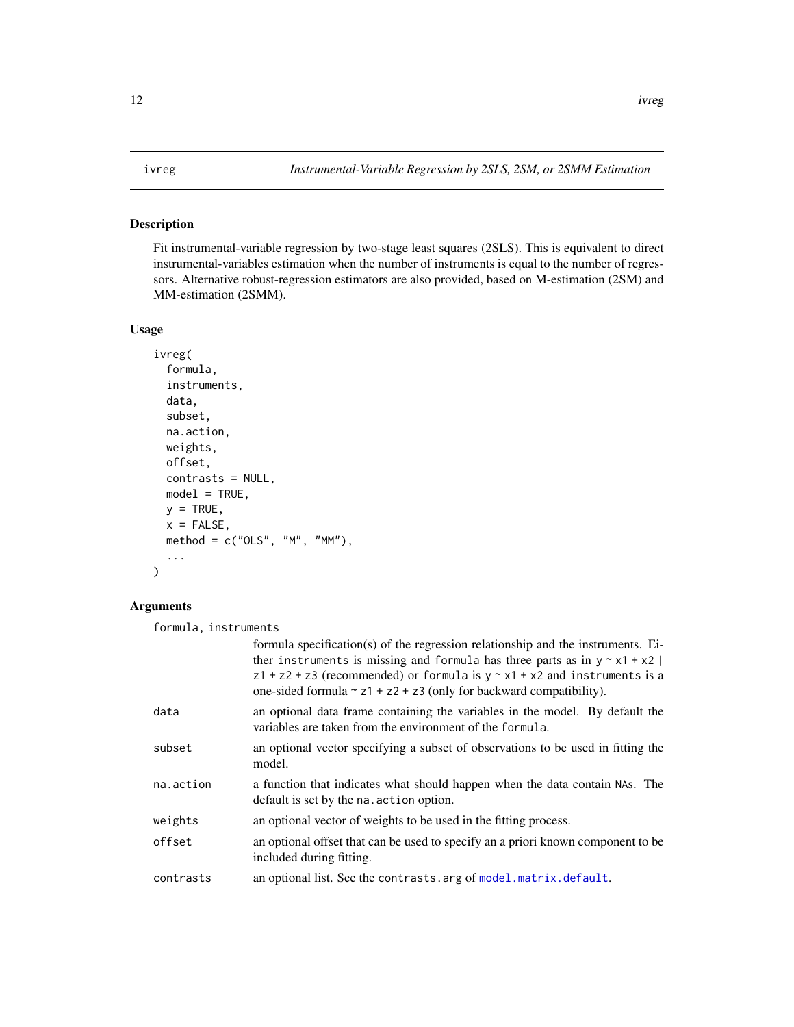# <span id="page-11-1"></span><span id="page-11-0"></span>Description

Fit instrumental-variable regression by two-stage least squares (2SLS). This is equivalent to direct instrumental-variables estimation when the number of instruments is equal to the number of regressors. Alternative robust-regression estimators are also provided, based on M-estimation (2SM) and MM-estimation (2SMM).

# Usage

```
ivreg(
  formula,
  instruments,
 data,
  subset,
 na.action,
 weights,
 offset,
  contrasts = NULL,
 model = TRUE,y = TRUE,x = FALSE,
 method = c("OLS", "M", "MM"),
  ...
)
```
# Arguments

formula, instruments

|           | formula specification(s) of the regression relationship and the instruments. Ei-<br>ther instruments is missing and formula has three parts as in $y \sim x1 + x2$<br>$z1 + z2 + z3$ (recommended) or formula is $y \sim x1 + x2$ and instruments is a<br>one-sided formula $\sim$ z1 + z2 + z3 (only for backward compatibility). |
|-----------|------------------------------------------------------------------------------------------------------------------------------------------------------------------------------------------------------------------------------------------------------------------------------------------------------------------------------------|
| data      | an optional data frame containing the variables in the model. By default the<br>variables are taken from the environment of the formula.                                                                                                                                                                                           |
| subset    | an optional vector specifying a subset of observations to be used in fitting the<br>model.                                                                                                                                                                                                                                         |
| na.action | a function that indicates what should happen when the data contain NAS. The<br>default is set by the na. action option.                                                                                                                                                                                                            |
| weights   | an optional vector of weights to be used in the fitting process.                                                                                                                                                                                                                                                                   |
| offset    | an optional offset that can be used to specify an a priori known component to be<br>included during fitting.                                                                                                                                                                                                                       |
| contrasts | an optional list. See the contrasts. arg of model. matrix. default.                                                                                                                                                                                                                                                                |
|           |                                                                                                                                                                                                                                                                                                                                    |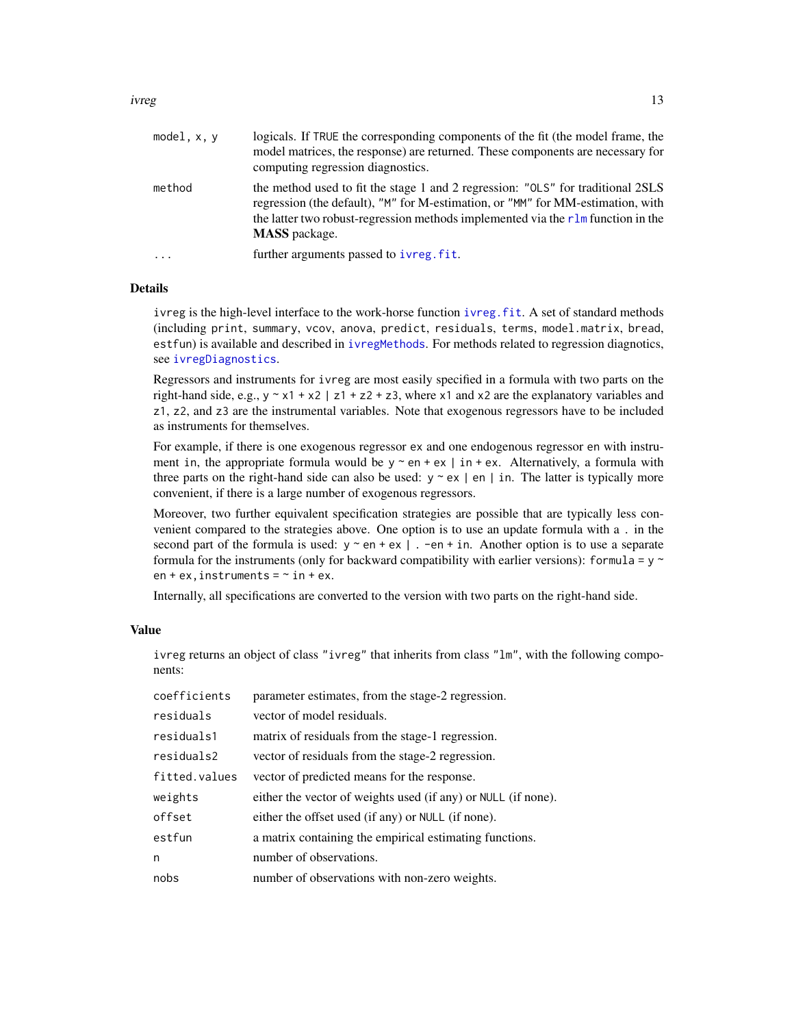<span id="page-12-0"></span>ivreg the state of the state of the state of the state of the state of the state of the state of the state of the state of the state of the state of the state of the state of the state of the state of the state of the stat

| model, x, y | logicals. If TRUE the corresponding components of the fit (the model frame, the<br>model matrices, the response) are returned. These components are necessary for<br>computing regression diagnostics.                                                                               |
|-------------|--------------------------------------------------------------------------------------------------------------------------------------------------------------------------------------------------------------------------------------------------------------------------------------|
| method      | the method used to fit the stage 1 and 2 regression: "OLS" for traditional 2SLS<br>regression (the default), "M" for M-estimation, or "MM" for MM-estimation, with<br>the latter two robust-regression methods implemented via the $r \ln r$ function in the<br><b>MASS</b> package. |
| $\cdot$     | further arguments passed to ivreg. fit.                                                                                                                                                                                                                                              |
|             |                                                                                                                                                                                                                                                                                      |

# **Details**

ivreg is the high-level interface to the work-horse function [ivreg.fit](#page-14-1). A set of standard methods (including print, summary, vcov, anova, predict, residuals, terms, model.matrix, bread, estfun) is available and described in [ivregMethods](#page-3-1). For methods related to regression diagnotics, see [ivregDiagnostics](#page-6-1).

Regressors and instruments for ivreg are most easily specified in a formula with two parts on the right-hand side, e.g.,  $y \sim x1 + x2$  | z1 + z2 + z3, where x1 and x2 are the explanatory variables and z1, z2, and z3 are the instrumental variables. Note that exogenous regressors have to be included as instruments for themselves.

For example, if there is one exogenous regressor ex and one endogenous regressor en with instrument in, the appropriate formula would be  $y \sim en + ex$  | in + ex. Alternatively, a formula with three parts on the right-hand side can also be used:  $y \sim ex$  | en | in. The latter is typically more convenient, if there is a large number of exogenous regressors.

Moreover, two further equivalent specification strategies are possible that are typically less convenient compared to the strategies above. One option is to use an update formula with a . in the second part of the formula is used:  $y \sim en + ex$  | . -en + in. Another option is to use a separate formula for the instruments (only for backward compatibility with earlier versions): formula =  $y \sim$  $en + ex$ , instruments =  $\sim$  in + ex.

Internally, all specifications are converted to the version with two parts on the right-hand side.

# Value

ivreg returns an object of class "ivreg" that inherits from class "lm", with the following components:

| coefficients  | parameter estimates, from the stage-2 regression.             |
|---------------|---------------------------------------------------------------|
| residuals     | vector of model residuals.                                    |
| residuals1    | matrix of residuals from the stage-1 regression.              |
| residuals2    | vector of residuals from the stage-2 regression.              |
| fitted.values | vector of predicted means for the response.                   |
| weights       | either the vector of weights used (if any) or NULL (if none). |
| offset        | either the offset used (if any) or NULL (if none).            |
| estfun        | a matrix containing the empirical estimating functions.       |
| n             | number of observations.                                       |
| nobs          | number of observations with non-zero weights.                 |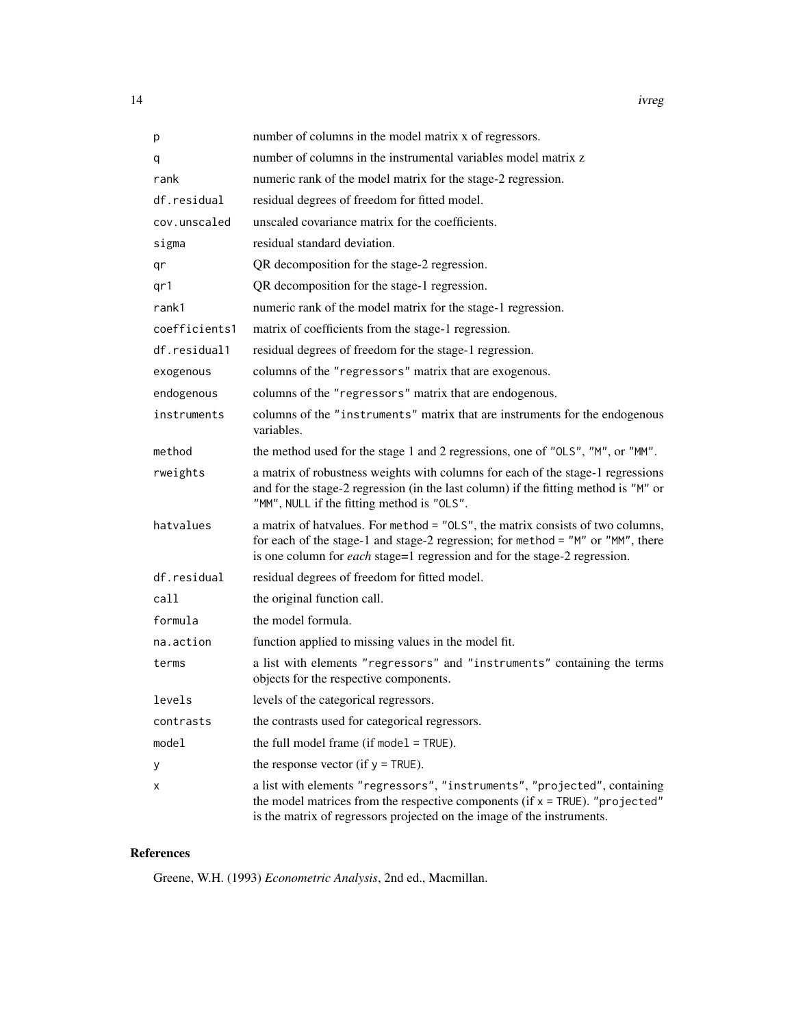| р             | number of columns in the model matrix x of regressors.                                                                                                                                                                                         |
|---------------|------------------------------------------------------------------------------------------------------------------------------------------------------------------------------------------------------------------------------------------------|
| q             | number of columns in the instrumental variables model matrix z                                                                                                                                                                                 |
| rank          | numeric rank of the model matrix for the stage-2 regression.                                                                                                                                                                                   |
| df.residual   | residual degrees of freedom for fitted model.                                                                                                                                                                                                  |
| cov.unscaled  | unscaled covariance matrix for the coefficients.                                                                                                                                                                                               |
| sigma         | residual standard deviation.                                                                                                                                                                                                                   |
| qr            | QR decomposition for the stage-2 regression.                                                                                                                                                                                                   |
| qr1           | QR decomposition for the stage-1 regression.                                                                                                                                                                                                   |
| rank1         | numeric rank of the model matrix for the stage-1 regression.                                                                                                                                                                                   |
| coefficients1 | matrix of coefficients from the stage-1 regression.                                                                                                                                                                                            |
| df.residual1  | residual degrees of freedom for the stage-1 regression.                                                                                                                                                                                        |
| exogenous     | columns of the "regressors" matrix that are exogenous.                                                                                                                                                                                         |
| endogenous    | columns of the "regressors" matrix that are endogenous.                                                                                                                                                                                        |
| instruments   | columns of the "instruments" matrix that are instruments for the endogenous<br>variables.                                                                                                                                                      |
| method        | the method used for the stage 1 and 2 regressions, one of "OLS", "M", or "MM".                                                                                                                                                                 |
| rweights      | a matrix of robustness weights with columns for each of the stage-1 regressions<br>and for the stage-2 regression (in the last column) if the fitting method is "M" or<br>"MM", NULL if the fitting method is "OLS".                           |
| hatvalues     | a matrix of hatvalues. For method = "OLS", the matrix consists of two columns,<br>for each of the stage-1 and stage-2 regression; for method = "M" or "MM", there<br>is one column for each stage=1 regression and for the stage-2 regression. |
| df.residual   | residual degrees of freedom for fitted model.                                                                                                                                                                                                  |
| call          | the original function call.                                                                                                                                                                                                                    |
| formula       | the model formula.                                                                                                                                                                                                                             |
| na.action     | function applied to missing values in the model fit.                                                                                                                                                                                           |
| terms         | a list with elements "regressors" and "instruments" containing the terms<br>objects for the respective components.                                                                                                                             |
| levels        | levels of the categorical regressors.                                                                                                                                                                                                          |
| contrasts     | the contrasts used for categorical regressors.                                                                                                                                                                                                 |
| model         | the full model frame (if $model = TRUE$ ).                                                                                                                                                                                                     |
| у             | the response vector (if $y = TRUE$ ).                                                                                                                                                                                                          |
| х             | a list with elements "regressors", "instruments", "projected", containing<br>the model matrices from the respective components (if $x = TRUE$ ). "projected"<br>is the matrix of regressors projected on the image of the instruments.         |

# References

Greene, W.H. (1993) *Econometric Analysis*, 2nd ed., Macmillan.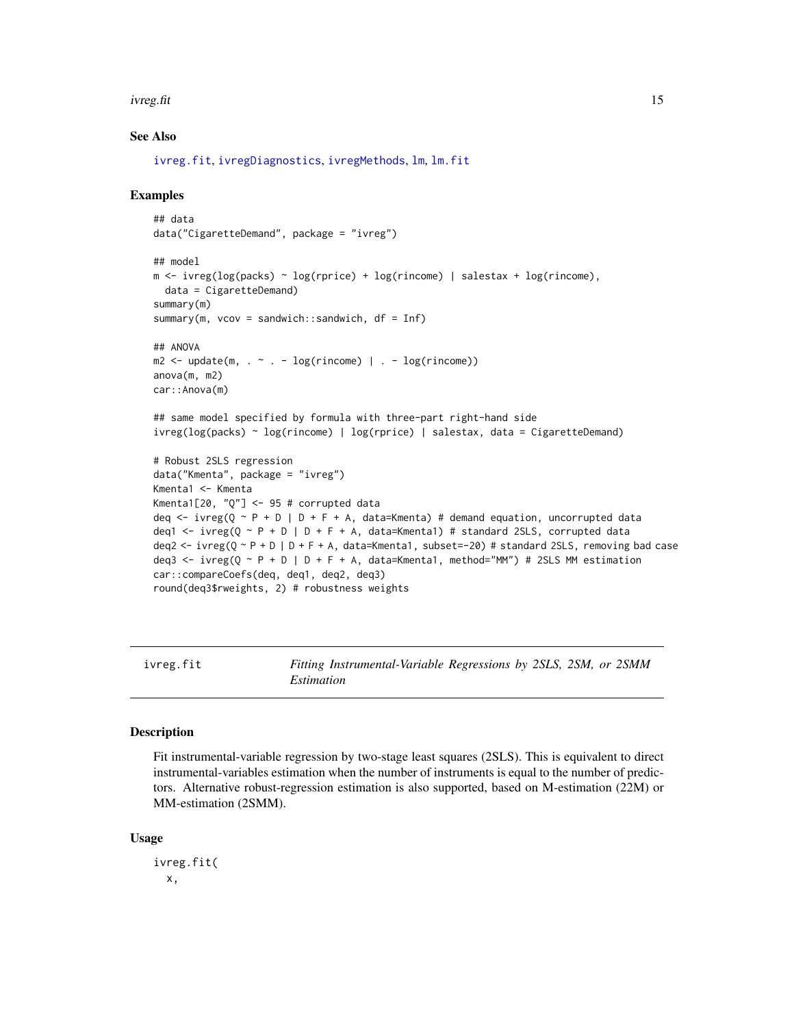#### <span id="page-14-0"></span>ivreg.fit 15

# See Also

[ivreg.fit](#page-14-1), [ivregDiagnostics](#page-6-1), [ivregMethods](#page-3-1), [lm](#page-0-0), [lm.fit](#page-0-0)

# Examples

```
## data
data("CigaretteDemand", package = "ivreg")
## model
m \leftarrow \text{ivreg}(\log(\text{packs}) \sim \log(\text{rprice}) + \log(\text{rincome}) \mid \text{salestax} + \log(\text{rincome}),data = CigaretteDemand)
summary(m)
summary(m, vcov = sandwich::sandwich, df = Inf)## ANOVA
m2 \leq update(m, \sim . - log(rincome) | . - log(rincome))
anova(m, m2)
car::Anova(m)
## same model specified by formula with three-part right-hand side
ivreg(log(packs) ~ log(rincome) | log(rprice) | salestax, data = CigaretteDemand)
# Robust 2SLS regression
data("Kmenta", package = "ivreg")
Kmenta1 <- Kmenta
Kmenta1[20, "0"] \leq 95 # corrupted data
deq <- ivreg(Q \sim P + D | D + F + A, data=Kmenta) # demand equation, uncorrupted data
deq1 <- ivreg(Q \sim P + D | D + F + A, data=Kmenta1) # standard 2SLS, corrupted data
deq2 <- ivreg(Q ~ P + D | D + F + A, data=Kmenta1, subset=-20) # standard 2SLS, removing bad case
deq3 <- ivreg(Q \sim P + D | D + F + A, data=Kmenta1, method="MM") # 2SLS MM estimation
car::compareCoefs(deq, deq1, deq2, deq3)
round(deq3$rweights, 2) # robustness weights
```
<span id="page-14-1"></span>

ivreg.fit *Fitting Instrumental-Variable Regressions by 2SLS, 2SM, or 2SMM Estimation*

# **Description**

Fit instrumental-variable regression by two-stage least squares (2SLS). This is equivalent to direct instrumental-variables estimation when the number of instruments is equal to the number of predictors. Alternative robust-regression estimation is also supported, based on M-estimation (22M) or MM-estimation (2SMM).

#### Usage

ivreg.fit( x,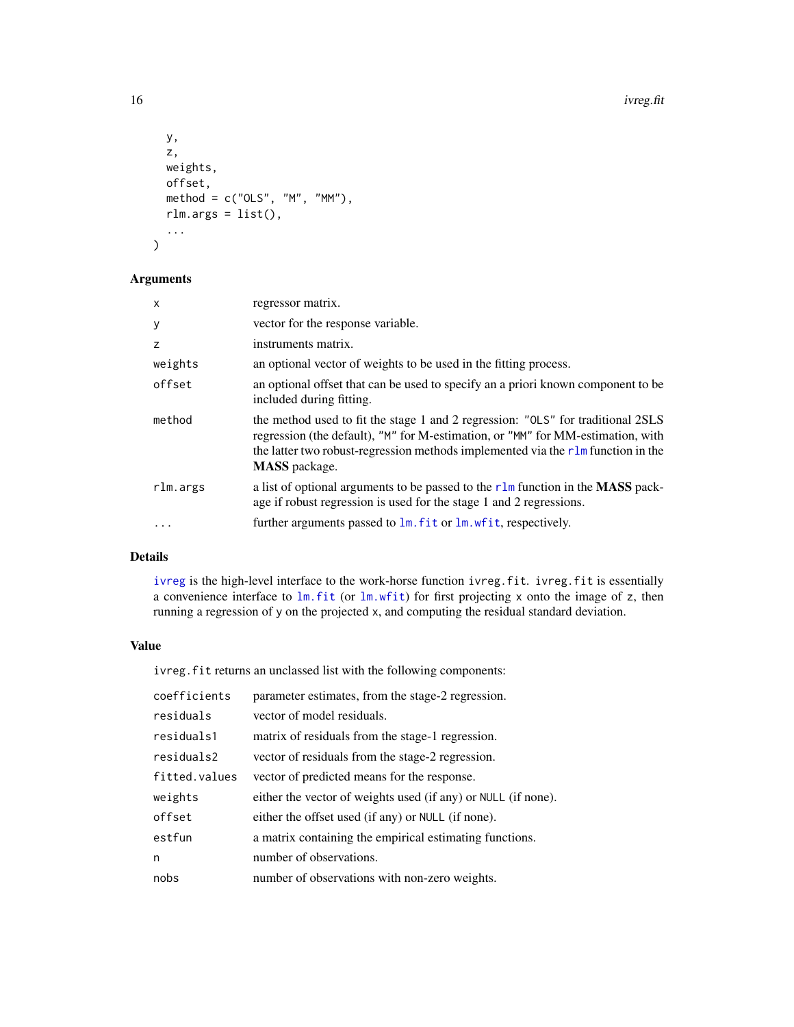```
y,
  z,
  weights,
  offset,
  method = c("OLS", "M", "MM"),
  rlm.args = list(),...
\mathcal{L}
```
# Arguments

| $\times$ | regressor matrix.                                                                                                                                                                                                                                                                    |
|----------|--------------------------------------------------------------------------------------------------------------------------------------------------------------------------------------------------------------------------------------------------------------------------------------|
| y        | vector for the response variable.                                                                                                                                                                                                                                                    |
| z        | instruments matrix.                                                                                                                                                                                                                                                                  |
| weights  | an optional vector of weights to be used in the fitting process.                                                                                                                                                                                                                     |
| offset   | an optional offset that can be used to specify an a priori known component to be<br>included during fitting.                                                                                                                                                                         |
| method   | the method used to fit the stage 1 and 2 regression: "OLS" for traditional 2SLS<br>regression (the default), "M" for M-estimation, or "MM" for MM-estimation, with<br>the latter two robust-regression methods implemented via the $r \ln m$ function in the<br><b>MASS</b> package. |
| rlm.args | a list of optional arguments to be passed to the $r \ln r$ function in the <b>MASS</b> pack-<br>age if robust regression is used for the stage 1 and 2 regressions.                                                                                                                  |
|          | further arguments passed to lm. fit or lm. wfit, respectively.                                                                                                                                                                                                                       |

# Details

[ivreg](#page-11-1) is the high-level interface to the work-horse function ivreg.fit. ivreg.fit is essentially a convenience interface to  $lm$ . fit (or  $lm$ , wfit) for first projecting x onto the image of z, then running a regression of y on the projected x, and computing the residual standard deviation.

# Value

ivreg.fit returns an unclassed list with the following components:

| coefficients  | parameter estimates, from the stage-2 regression.             |
|---------------|---------------------------------------------------------------|
| residuals     | vector of model residuals.                                    |
| residuals1    | matrix of residuals from the stage-1 regression.              |
| residuals2    | vector of residuals from the stage-2 regression.              |
| fitted.values | vector of predicted means for the response.                   |
| weights       | either the vector of weights used (if any) or NULL (if none). |
| offset        | either the offset used (if any) or NULL (if none).            |
| estfun        | a matrix containing the empirical estimating functions.       |
| n             | number of observations.                                       |
| nobs          | number of observations with non-zero weights.                 |
|               |                                                               |

<span id="page-15-0"></span>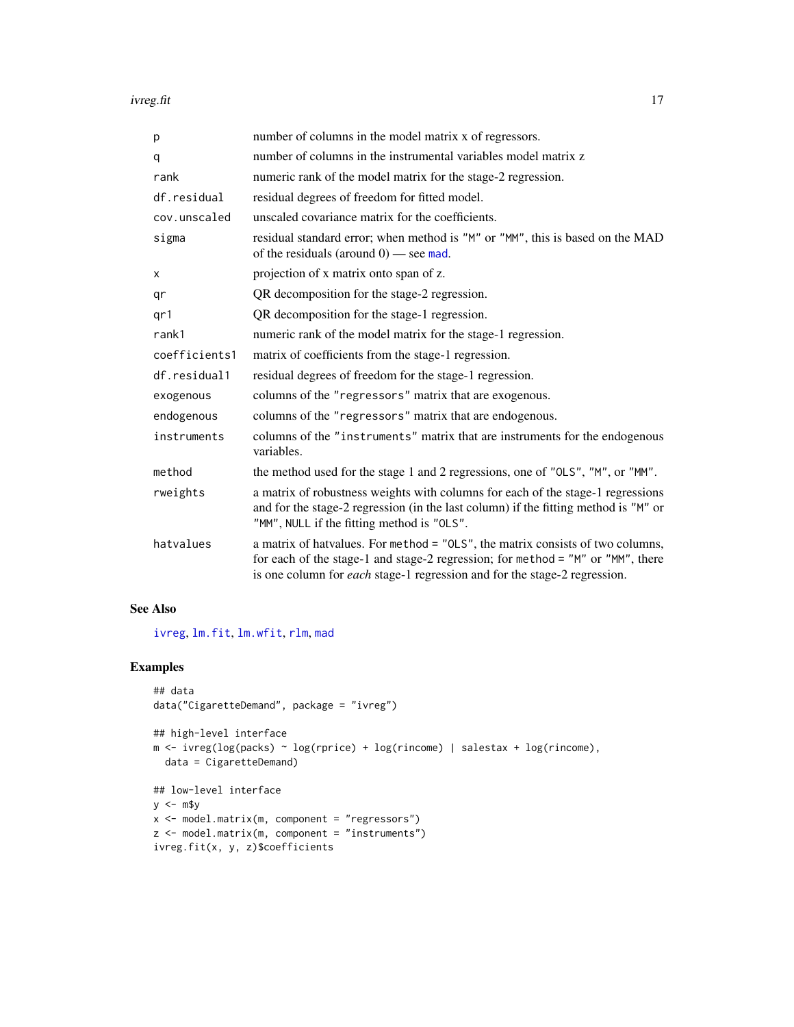<span id="page-16-0"></span>ivreg.fit the state of the state of the state of the state of the state of the state of the state of the state of the state of the state of the state of the state of the state of the state of the state of the state of the

| p             | number of columns in the model matrix x of regressors.                                                                                                                                                                                                |
|---------------|-------------------------------------------------------------------------------------------------------------------------------------------------------------------------------------------------------------------------------------------------------|
| q             | number of columns in the instrumental variables model matrix z                                                                                                                                                                                        |
| rank          | numeric rank of the model matrix for the stage-2 regression.                                                                                                                                                                                          |
| df.residual   | residual degrees of freedom for fitted model.                                                                                                                                                                                                         |
| cov.unscaled  | unscaled covariance matrix for the coefficients.                                                                                                                                                                                                      |
| sigma         | residual standard error; when method is "M" or "MM", this is based on the MAD<br>of the residuals (around $0$ ) — see mad.                                                                                                                            |
| x             | projection of x matrix onto span of z.                                                                                                                                                                                                                |
| qr            | QR decomposition for the stage-2 regression.                                                                                                                                                                                                          |
| gr1           | QR decomposition for the stage-1 regression.                                                                                                                                                                                                          |
| rank1         | numeric rank of the model matrix for the stage-1 regression.                                                                                                                                                                                          |
| coefficients1 | matrix of coefficients from the stage-1 regression.                                                                                                                                                                                                   |
| df.residual1  | residual degrees of freedom for the stage-1 regression.                                                                                                                                                                                               |
| exogenous     | columns of the "regressors" matrix that are exogenous.                                                                                                                                                                                                |
| endogenous    | columns of the "regressors" matrix that are endogenous.                                                                                                                                                                                               |
| instruments   | columns of the "instruments" matrix that are instruments for the endogenous<br>variables.                                                                                                                                                             |
| method        | the method used for the stage 1 and 2 regressions, one of "OLS", "M", or "MM".                                                                                                                                                                        |
| rweights      | a matrix of robustness weights with columns for each of the stage-1 regressions<br>and for the stage-2 regression (in the last column) if the fitting method is "M" or<br>"MM", NULL if the fitting method is "OLS".                                  |
| hatvalues     | a matrix of hatvalues. For method = "OLS", the matrix consists of two columns,<br>for each of the stage-1 and stage-2 regression; for method = "M" or "MM", there<br>is one column for <i>each</i> stage-1 regression and for the stage-2 regression. |

# See Also

[ivreg](#page-11-1), [lm.fit](#page-0-0), [lm.wfit](#page-0-0), [rlm](#page-0-0), [mad](#page-0-0)

```
## data
data("CigaretteDemand", package = "ivreg")
## high-level interface
m <- ivreg(log(packs) ~ log(rprice) + log(rincome) | salestax + log(rincome),
 data = CigaretteDemand)
## low-level interface
y \le -m$y
x <- model.matrix(m, component = "regressors")
z <- model.matrix(m, component = "instruments")
ivreg.fit(x, y, z)$coefficients
```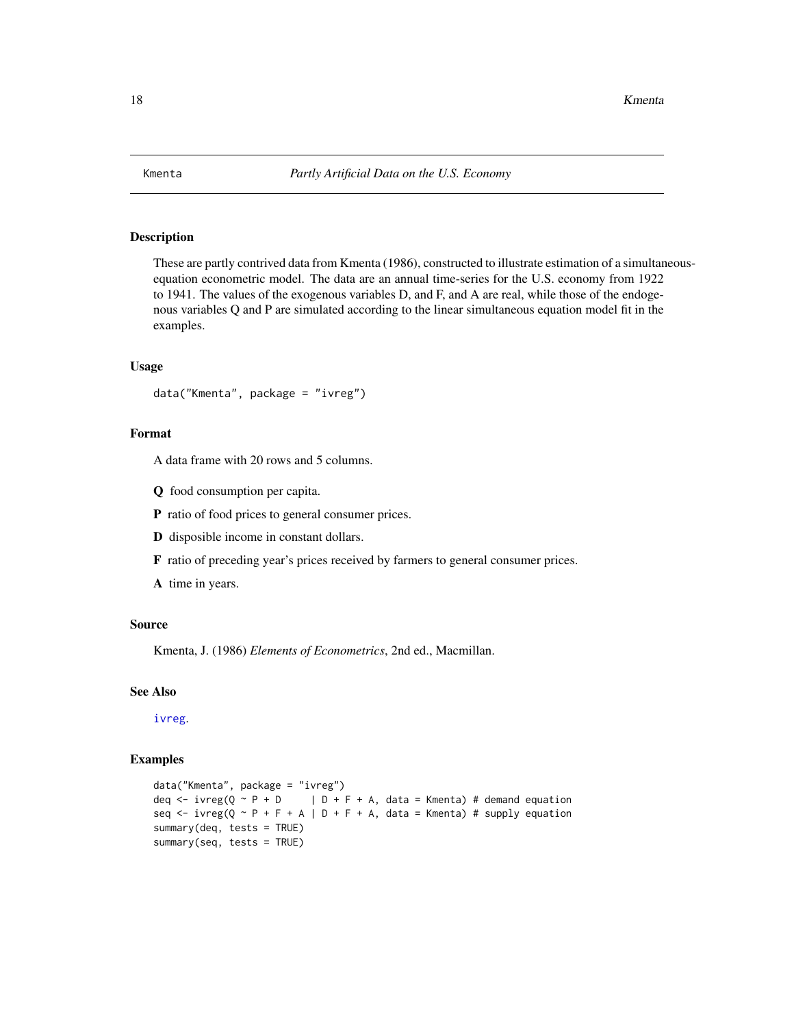<span id="page-17-0"></span>

# Description

These are partly contrived data from Kmenta (1986), constructed to illustrate estimation of a simultaneousequation econometric model. The data are an annual time-series for the U.S. economy from 1922 to 1941. The values of the exogenous variables D, and F, and A are real, while those of the endogenous variables Q and P are simulated according to the linear simultaneous equation model fit in the examples.

#### Usage

data("Kmenta", package = "ivreg")

# Format

A data frame with 20 rows and 5 columns.

Q food consumption per capita.

P ratio of food prices to general consumer prices.

D disposible income in constant dollars.

F ratio of preceding year's prices received by farmers to general consumer prices.

A time in years.

#### Source

Kmenta, J. (1986) *Elements of Econometrics*, 2nd ed., Macmillan.

# See Also

[ivreg](#page-11-1).

```
data("Kmenta", package = "ivreg")
deq <- ivreg(Q ~ P + D | D + F + A, data = Kmenta) # demand equation
seq <- ivreg(Q \sim P + F + A | D + F + A, data = Kmenta) # supply equation
summary(deq, tests = TRUE)
summary(seq, tests = TRUE)
```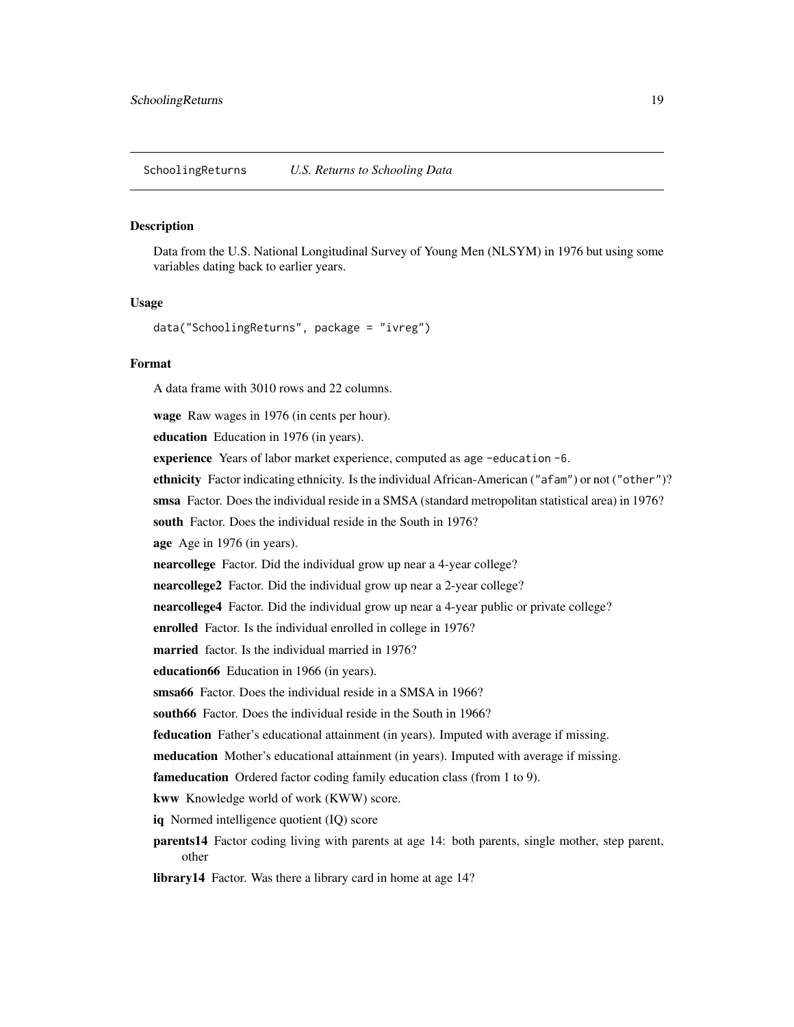<span id="page-18-0"></span>SchoolingReturns *U.S. Returns to Schooling Data*

#### Description

Data from the U.S. National Longitudinal Survey of Young Men (NLSYM) in 1976 but using some variables dating back to earlier years.

#### Usage

```
data("SchoolingReturns", package = "ivreg")
```
# Format

A data frame with 3010 rows and 22 columns.

wage Raw wages in 1976 (in cents per hour).

education Education in 1976 (in years).

experience Years of labor market experience, computed as age -education -6.

ethnicity Factor indicating ethnicity. Is the individual African-American ("afam") or not ("other")?

smsa Factor. Does the individual reside in a SMSA (standard metropolitan statistical area) in 1976?

south Factor. Does the individual reside in the South in 1976?

age Age in 1976 (in years).

nearcollege Factor. Did the individual grow up near a 4-year college?

nearcollege2 Factor. Did the individual grow up near a 2-year college?

nearcollege4 Factor. Did the individual grow up near a 4-year public or private college?

enrolled Factor. Is the individual enrolled in college in 1976?

married factor. Is the individual married in 1976?

education66 Education in 1966 (in years).

smsa66 Factor. Does the individual reside in a SMSA in 1966?

south66 Factor. Does the individual reside in the South in 1966?

feducation Father's educational attainment (in years). Imputed with average if missing.

meducation Mother's educational attainment (in years). Imputed with average if missing.

fameducation Ordered factor coding family education class (from 1 to 9).

kww Knowledge world of work (KWW) score.

iq Normed intelligence quotient (IQ) score

# parents14 Factor coding living with parents at age 14: both parents, single mother, step parent, other

library14 Factor. Was there a library card in home at age 14?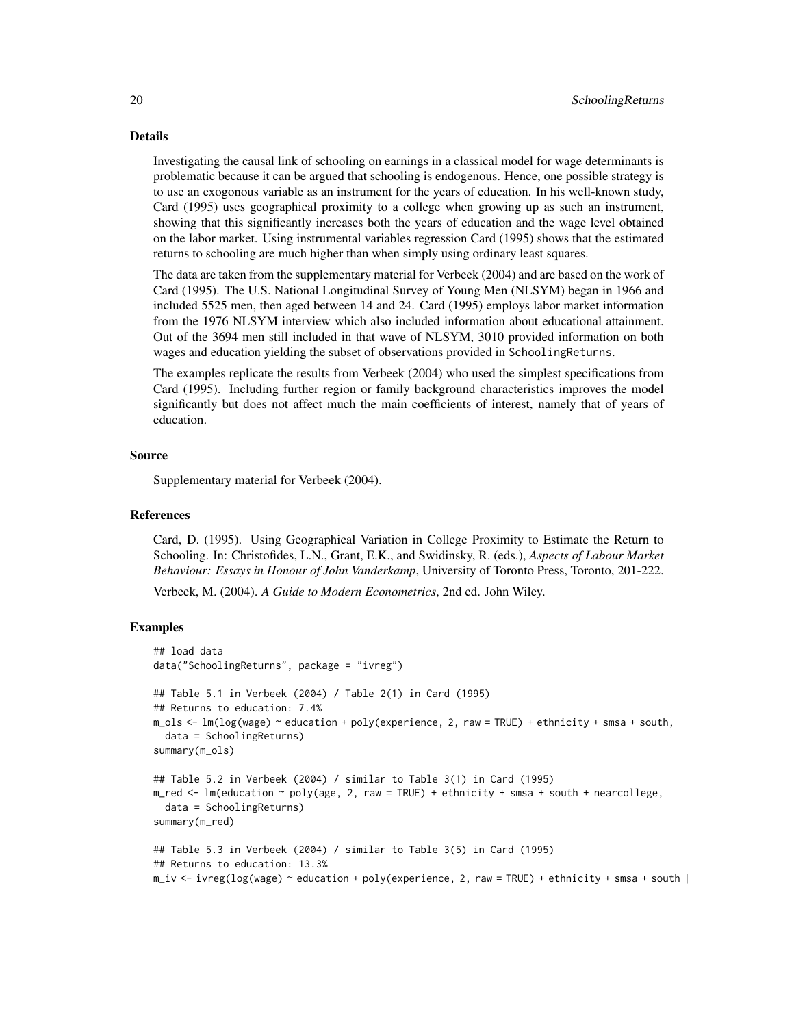#### Details

Investigating the causal link of schooling on earnings in a classical model for wage determinants is problematic because it can be argued that schooling is endogenous. Hence, one possible strategy is to use an exogonous variable as an instrument for the years of education. In his well-known study, Card (1995) uses geographical proximity to a college when growing up as such an instrument, showing that this significantly increases both the years of education and the wage level obtained on the labor market. Using instrumental variables regression Card (1995) shows that the estimated returns to schooling are much higher than when simply using ordinary least squares.

The data are taken from the supplementary material for Verbeek (2004) and are based on the work of Card (1995). The U.S. National Longitudinal Survey of Young Men (NLSYM) began in 1966 and included 5525 men, then aged between 14 and 24. Card (1995) employs labor market information from the 1976 NLSYM interview which also included information about educational attainment. Out of the 3694 men still included in that wave of NLSYM, 3010 provided information on both wages and education yielding the subset of observations provided in SchoolingReturns.

The examples replicate the results from Verbeek (2004) who used the simplest specifications from Card (1995). Including further region or family background characteristics improves the model significantly but does not affect much the main coefficients of interest, namely that of years of education.

# Source

Supplementary material for Verbeek (2004).

#### References

Card, D. (1995). Using Geographical Variation in College Proximity to Estimate the Return to Schooling. In: Christofides, L.N., Grant, E.K., and Swidinsky, R. (eds.), *Aspects of Labour Market Behaviour: Essays in Honour of John Vanderkamp*, University of Toronto Press, Toronto, 201-222.

Verbeek, M. (2004). *A Guide to Modern Econometrics*, 2nd ed. John Wiley.

```
## load data
data("SchoolingReturns", package = "ivreg")
## Table 5.1 in Verbeek (2004) / Table 2(1) in Card (1995)
## Returns to education: 7.4%
m_ols <- lm(log(wage) ~ education + poly(experience, 2, raw = TRUE) + ethnicity + smsa + south,
  data = SchoolingReturns)
summary(m_ols)
## Table 5.2 in Verbeek (2004) / similar to Table 3(1) in Card (1995)
m_{red} < -1 m_{red} and m_{red} and m_{red} and m_{red} and m_{red} and m_{red} and m_{red} and m_{red} and m_{red} mearcollege,
  data = SchoolingReturns)
summary(m_red)
## Table 5.3 in Verbeek (2004) / similar to Table 3(5) in Card (1995)
## Returns to education: 13.3%
m\_iv \leftarrow ivreg(log(wage) \sim education + poly(experience, 2, raw = TRUE) + ethnicity + smsa + south
```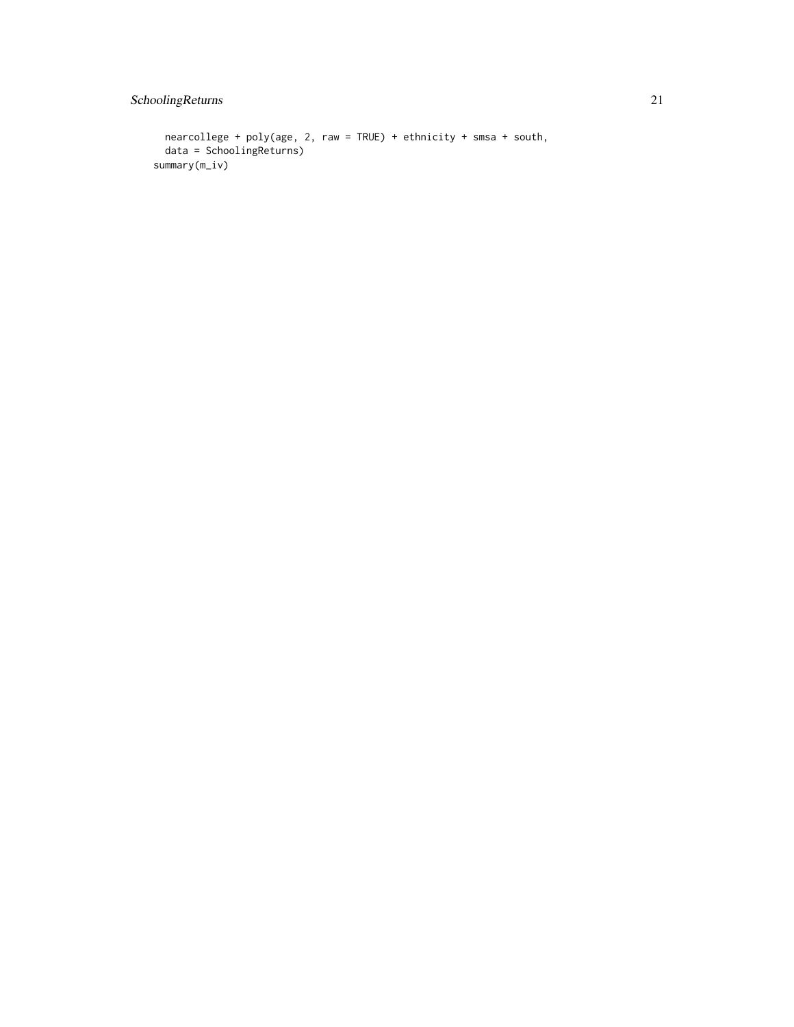```
nearcollege + poly(age, 2, raw = TRUE) + ethnicity + smsa + south,
 data = SchoolingReturns)
summary(m_iv)
```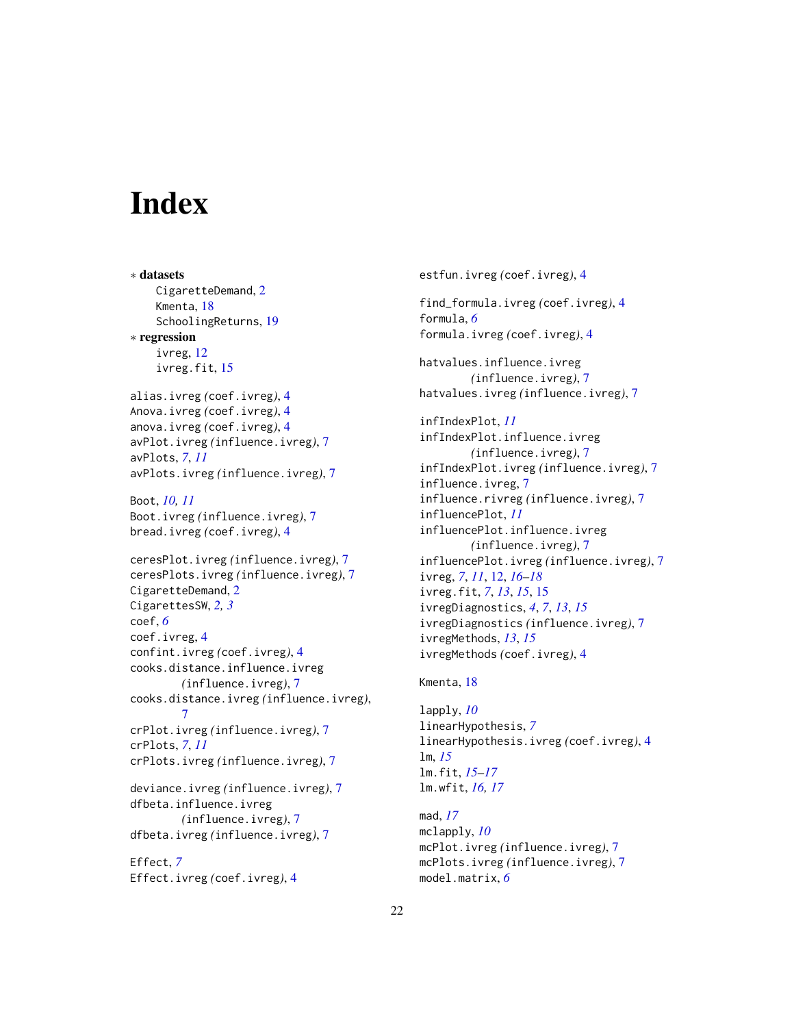# <span id="page-21-0"></span>**Index**

∗ datasets CigaretteDemand, [2](#page-1-0) Kmenta, [18](#page-17-0) SchoolingReturns, [19](#page-18-0) ∗ regression ivreg, [12](#page-11-0) ivreg.fit, [15](#page-14-0) alias.ivreg *(*coef.ivreg*)*, [4](#page-3-0) Anova.ivreg *(*coef.ivreg*)*, [4](#page-3-0) anova.ivreg *(*coef.ivreg*)*, [4](#page-3-0) avPlot.ivreg *(*influence.ivreg*)*, [7](#page-6-0) avPlots, *[7](#page-6-0)*, *[11](#page-10-0)* avPlots.ivreg *(*influence.ivreg*)*, [7](#page-6-0) Boot, *[10,](#page-9-0) [11](#page-10-0)* Boot.ivreg *(*influence.ivreg*)*, [7](#page-6-0) bread.ivreg *(*coef.ivreg*)*, [4](#page-3-0) ceresPlot.ivreg *(*influence.ivreg*)*, [7](#page-6-0) ceresPlots.ivreg *(*influence.ivreg*)*, [7](#page-6-0) CigaretteDemand, [2](#page-1-0) CigarettesSW, *[2,](#page-1-0) [3](#page-2-0)* coef, *[6](#page-5-0)* coef.ivreg, [4](#page-3-0) confint.ivreg *(*coef.ivreg*)*, [4](#page-3-0) cooks.distance.influence.ivreg *(*influence.ivreg*)*, [7](#page-6-0) cooks.distance.ivreg *(*influence.ivreg*)*, [7](#page-6-0) crPlot.ivreg *(*influence.ivreg*)*, [7](#page-6-0) crPlots, *[7](#page-6-0)*, *[11](#page-10-0)* crPlots.ivreg *(*influence.ivreg*)*, [7](#page-6-0) deviance.ivreg *(*influence.ivreg*)*, [7](#page-6-0) dfbeta.influence.ivreg *(*influence.ivreg*)*, [7](#page-6-0) dfbeta.ivreg *(*influence.ivreg*)*, [7](#page-6-0) Effect, *[7](#page-6-0)* Effect.ivreg *(*coef.ivreg*)*, [4](#page-3-0)

estfun.ivreg *(*coef.ivreg*)*, [4](#page-3-0) find\_formula.ivreg *(*coef.ivreg*)*, [4](#page-3-0) formula, *[6](#page-5-0)* formula.ivreg *(*coef.ivreg*)*, [4](#page-3-0) hatvalues.influence.ivreg *(*influence.ivreg*)*, [7](#page-6-0) hatvalues.ivreg *(*influence.ivreg*)*, [7](#page-6-0) infIndexPlot, *[11](#page-10-0)* infIndexPlot.influence.ivreg *(*influence.ivreg*)*, [7](#page-6-0) infIndexPlot.ivreg *(*influence.ivreg*)*, [7](#page-6-0) influence.ivreg, [7](#page-6-0) influence.rivreg *(*influence.ivreg*)*, [7](#page-6-0) influencePlot, *[11](#page-10-0)* influencePlot.influence.ivreg *(*influence.ivreg*)*, [7](#page-6-0) influencePlot.ivreg *(*influence.ivreg*)*, [7](#page-6-0) ivreg, *[7](#page-6-0)*, *[11](#page-10-0)*, [12,](#page-11-0) *[16](#page-15-0)[–18](#page-17-0)* ivreg.fit, *[7](#page-6-0)*, *[13](#page-12-0)*, *[15](#page-14-0)*, [15](#page-14-0) ivregDiagnostics, *[4](#page-3-0)*, *[7](#page-6-0)*, *[13](#page-12-0)*, *[15](#page-14-0)* ivregDiagnostics *(*influence.ivreg*)*, [7](#page-6-0) ivregMethods, *[13](#page-12-0)*, *[15](#page-14-0)* ivregMethods *(*coef.ivreg*)*, [4](#page-3-0)

Kmenta, [18](#page-17-0)

lapply, *[10](#page-9-0)* linearHypothesis, *[7](#page-6-0)* linearHypothesis.ivreg *(*coef.ivreg*)*, [4](#page-3-0) lm, *[15](#page-14-0)* lm.fit, *[15](#page-14-0)[–17](#page-16-0)* lm.wfit, *[16,](#page-15-0) [17](#page-16-0)*

mad, *[17](#page-16-0)* mclapply, *[10](#page-9-0)* mcPlot.ivreg *(*influence.ivreg*)*, [7](#page-6-0) mcPlots.ivreg *(*influence.ivreg*)*, [7](#page-6-0) model.matrix, *[6](#page-5-0)*